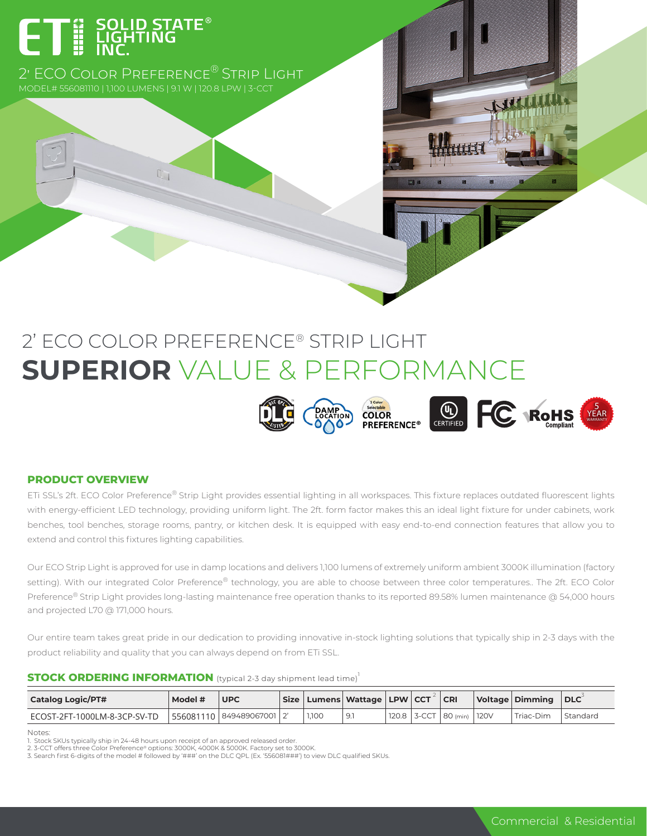# ET E SOLID STA

2' ECO COLOR PREFERENCE<sup>®</sup> STRIP LIGHT

# 2' ECO COLOR PREFERENCE® STRIP LIGHT **SUPERIOR** VALUE & PERFORMANCE



#### **PRODUCT OVERVIEW**

ETi SSL's 2ft. ECO Color Preference® Strip Light provides essential lighting in all workspaces. This fixture replaces outdated fluorescent lights with energy-efficient LED technology, providing uniform light. The 2ft. form factor makes this an ideal light fixture for under cabinets, work benches, tool benches, storage rooms, pantry, or kitchen desk. It is equipped with easy end-to-end connection features that allow you to extend and control this fixtures lighting capabilities.

Our ECO Strip Light is approved for use in damp locations and delivers 1,100 lumens of extremely uniform ambient 3000K illumination (factory setting). With our integrated Color Preference® technology, you are able to choose between three color temperatures.. The 2ft. ECO Color Preference® Strip Light provides long-lasting maintenance free operation thanks to its reported 89.58% lumen maintenance @ 54,000 hours and projected L70 @ 171,000 hours.

Our entire team takes great pride in our dedication to providing innovative in-stock lighting solutions that typically ship in 2-3 days with the product reliability and quality that you can always depend on from ETi SSL.

#### **STOCK ORDERING INFORMATION** (typical 2-3 day shipment lead time)<sup>1</sup>

| <b>Catalog Logic/PT#</b>     | Model # | <b>UPC</b>                | $Size \mid$ |       | Lumens   Wattage   LPW   CCT |             | CR              | Voltage   Dimming | <b>DLC</b> |
|------------------------------|---------|---------------------------|-------------|-------|------------------------------|-------------|-----------------|-------------------|------------|
| ECOST-2FT-1000LM-8-3CP-SV-TD |         | 556081110 849489067001 2' |             | 1.100 | 9.1                          | 120.8 3-CCT | 80 (min)   120V | Triac-Dim         | Standard   |

Notes:

5 WARRANTY YEAR

<sup>1.</sup> Stock SKUs typically ship in 24-48 hours upon receipt of an approved released order.<br>2. 3-CCT offers three Color Preference® options: 3000K, 4000K & 5000K. Factory set to 3000K.<br>3. Search first 6-digits of the model #